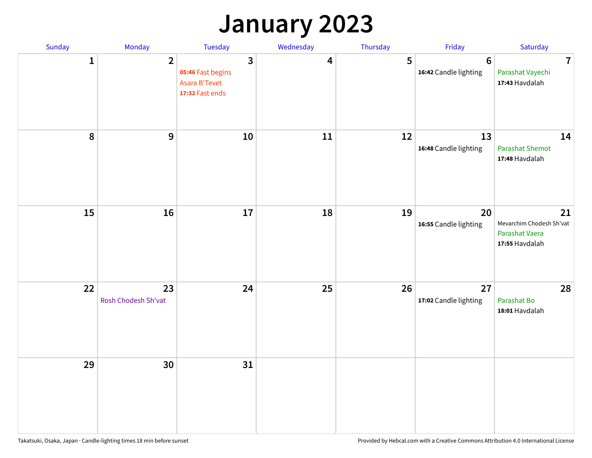## **January 2023**

| Sunday       | Monday                    | Tuesday                                                                 | Wednesday | Thursday | Friday                                   | Saturday                                                           |
|--------------|---------------------------|-------------------------------------------------------------------------|-----------|----------|------------------------------------------|--------------------------------------------------------------------|
| $\mathbf{1}$ | $\overline{2}$            | $\overline{3}$<br>05:46 Fast begins<br>Asara B'Tevet<br>17:32 Fast ends | 4         | 5        | $6\phantom{1}6$<br>16:42 Candle lighting | $\overline{7}$<br>Parashat Vayechi<br>17:43 Havdalah               |
| 8            | $\mathbf{9}$              | $10\,$                                                                  | 11        | 12       | 13<br>16:48 Candle lighting              | 14<br><b>Parashat Shemot</b><br>17:48 Havdalah                     |
| 15           | 16                        | 17                                                                      | 18        | 19       | 20<br>16:55 Candle lighting              | 21<br>Mevarchim Chodesh Sh'vat<br>Parashat Vaera<br>17:55 Havdalah |
| 22           | 23<br>Rosh Chodesh Sh'vat | 24                                                                      | 25        | 26       | 27<br>17:02 Candle lighting              | 28<br>Parashat Bo<br>18:01 Havdalah                                |
| 29           | 30                        | 31                                                                      |           |          |                                          |                                                                    |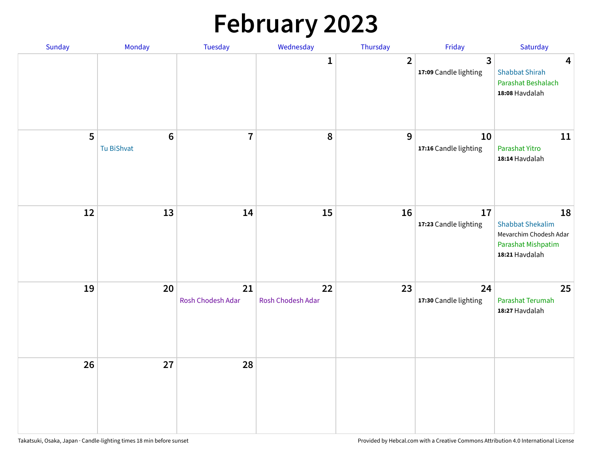# **February 2023**

| Sunday | Monday                       | <b>Tuesday</b>          | Wednesday               | Thursday       | Friday                                  | Saturday                                                                                        |
|--------|------------------------------|-------------------------|-------------------------|----------------|-----------------------------------------|-------------------------------------------------------------------------------------------------|
|        |                              |                         | 1                       | $\overline{2}$ | $\overline{3}$<br>17:09 Candle lighting | $\overline{\mathbf{4}}$<br><b>Shabbat Shirah</b><br>Parashat Beshalach<br>18:08 Havdalah        |
| 5      | $\bf 6$<br><b>Tu BiShvat</b> | $\overline{7}$          | 8                       | 9              | 10<br>17:16 Candle lighting             | 11<br>Parashat Yitro<br>18:14 Havdalah                                                          |
| 12     | 13                           | 14                      | 15                      | 16             | 17<br>17:23 Candle lighting             | 18<br><b>Shabbat Shekalim</b><br>Mevarchim Chodesh Adar<br>Parashat Mishpatim<br>18:21 Havdalah |
| 19     | 20                           | 21<br>Rosh Chodesh Adar | 22<br>Rosh Chodesh Adar | 23             | 24<br>17:30 Candle lighting             | 25<br>Parashat Terumah<br>18:27 Havdalah                                                        |
| 26     | 27                           | 28                      |                         |                |                                         |                                                                                                 |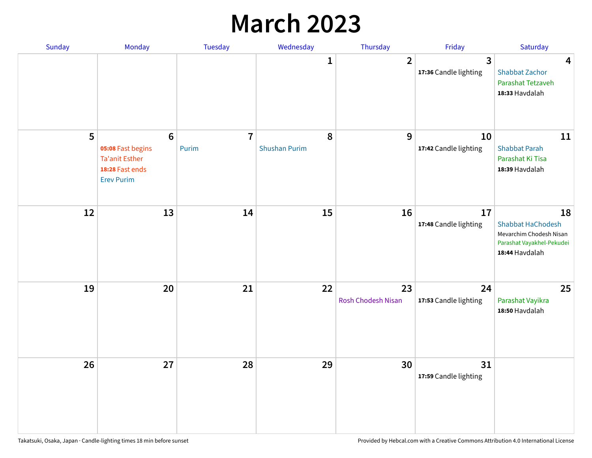## **March 2023**

| Sunday | Monday                                                                                                | Tuesday                 | Wednesday                 | Thursday                 | Friday                      | Saturday                                                                                                 |
|--------|-------------------------------------------------------------------------------------------------------|-------------------------|---------------------------|--------------------------|-----------------------------|----------------------------------------------------------------------------------------------------------|
|        |                                                                                                       |                         | 1                         | $\overline{2}$           | 3<br>17:36 Candle lighting  | $\overline{\mathbf{4}}$<br><b>Shabbat Zachor</b><br>Parashat Tetzaveh<br>18:33 Havdalah                  |
| 5      | $6\phantom{1}6$<br>05:08 Fast begins<br><b>Ta'anit Esther</b><br>18:28 Fast ends<br><b>Erev Purim</b> | $\overline{7}$<br>Purim | 8<br><b>Shushan Purim</b> | 9                        | 10<br>17:42 Candle lighting | 11<br><b>Shabbat Parah</b><br>Parashat Ki Tisa<br>18:39 Havdalah                                         |
| 12     | 13                                                                                                    | 14                      | 15                        | 16                       | 17<br>17:48 Candle lighting | 18<br><b>Shabbat HaChodesh</b><br>Mevarchim Chodesh Nisan<br>Parashat Vayakhel-Pekudei<br>18:44 Havdalah |
| 19     | 20                                                                                                    | 21                      | 22                        | 23<br>Rosh Chodesh Nisan | 24<br>17:53 Candle lighting | 25<br>Parashat Vayikra<br>18:50 Havdalah                                                                 |
| 26     | 27                                                                                                    | 28                      | 29                        | 30                       | 31<br>17:59 Candle lighting |                                                                                                          |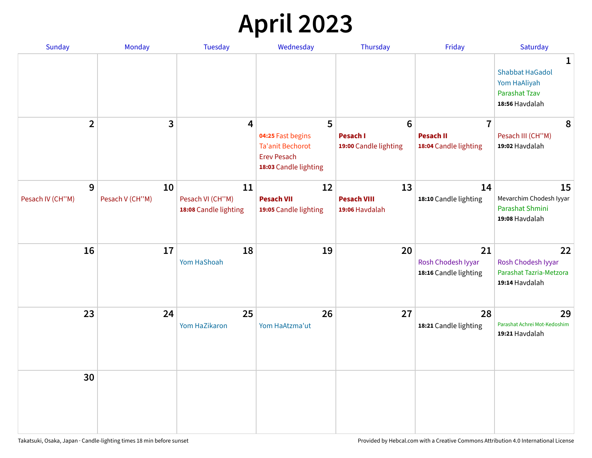# **April 2023**

| Sunday           | <b>Monday</b>   | <b>Tuesday</b>                            | Wednesday                                                                                   | Thursday                                 | Friday                                            | Saturday                                                                              |
|------------------|-----------------|-------------------------------------------|---------------------------------------------------------------------------------------------|------------------------------------------|---------------------------------------------------|---------------------------------------------------------------------------------------|
|                  |                 |                                           |                                                                                             |                                          |                                                   | 1<br><b>Shabbat HaGadol</b><br>Yom HaAliyah<br><b>Parashat Tzav</b><br>18:56 Havdalah |
| $\overline{2}$   | 3               | 4                                         | 5                                                                                           | $6\phantom{1}6$                          | $\overline{7}$                                    | 8                                                                                     |
|                  |                 |                                           | 04:25 Fast begins<br><b>Ta'anit Bechorot</b><br><b>Erev Pesach</b><br>18:03 Candle lighting | <b>Pesach I</b><br>19:00 Candle lighting | <b>Pesach II</b><br>18:04 Candle lighting         | Pesach III (CH"M)<br>19:02 Havdalah                                                   |
| 9                | 10              | 11                                        | 12                                                                                          | 13                                       | 14                                                | 15                                                                                    |
| Pesach IV (CH"M) | Pesach V (CH"M) | Pesach VI (CH"M)<br>18:08 Candle lighting | <b>Pesach VII</b><br>19:05 Candle lighting                                                  | <b>Pesach VIII</b><br>19:06 Havdalah     | 18:10 Candle lighting                             | Mevarchim Chodesh Iyyar<br>Parashat Shmini<br>19:08 Havdalah                          |
| 16               | 17              | 18<br>Yom HaShoah                         | 19                                                                                          | 20                                       | 21<br>Rosh Chodesh Iyyar<br>18:16 Candle lighting | 22<br>Rosh Chodesh Iyyar<br>Parashat Tazria-Metzora<br>19:14 Havdalah                 |
| 23               | 24              | 25<br>Yom HaZikaron                       | 26<br>Yom HaAtzma'ut                                                                        | 27                                       | 28<br>18:21 Candle lighting                       | 29<br>Parashat Achrei Mot-Kedoshim<br>19:21 Havdalah                                  |
| 30               |                 |                                           |                                                                                             |                                          |                                                   |                                                                                       |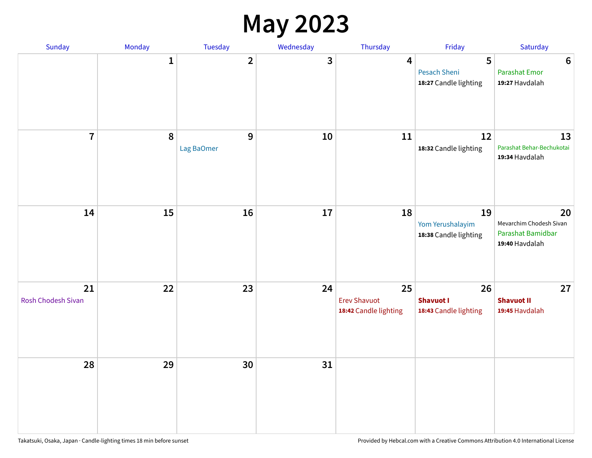#### **May 2023**

| Sunday                   | Monday       | Tuesday         | Wednesday               | Thursday                                           | Friday                                            | Saturday                                                             |
|--------------------------|--------------|-----------------|-------------------------|----------------------------------------------------|---------------------------------------------------|----------------------------------------------------------------------|
|                          | $\mathbf{1}$ | $\overline{2}$  | $\overline{\mathbf{3}}$ | $\overline{\mathbf{4}}$                            | 5<br><b>Pesach Sheni</b><br>18:27 Candle lighting | $\boldsymbol{6}$<br><b>Parashat Emor</b><br>19:27 Havdalah           |
| $\overline{7}$           | $\pmb{8}$    | 9<br>Lag BaOmer | 10                      | 11                                                 | 12<br>18:32 Candle lighting                       | 13<br>Parashat Behar-Bechukotai<br>19:34 Havdalah                    |
| 14                       | 15           | 16              | 17                      | 18                                                 | 19<br>Yom Yerushalayim<br>18:38 Candle lighting   | 20<br>Mevarchim Chodesh Sivan<br>Parashat Bamidbar<br>19:40 Havdalah |
| 21<br>Rosh Chodesh Sivan | 22           | 23              | 24                      | 25<br><b>Erev Shavuot</b><br>18:42 Candle lighting | 26<br><b>Shavuot I</b><br>18:43 Candle lighting   | 27<br><b>Shavuot II</b><br>19:45 Havdalah                            |
| 28                       | 29           | 30              | 31                      |                                                    |                                                   |                                                                      |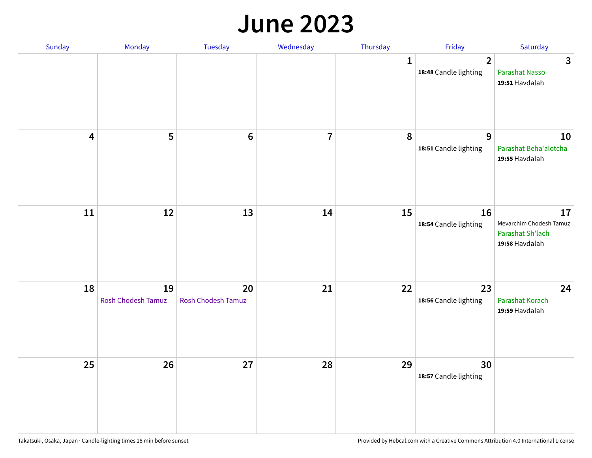#### **June 2023**

| Sunday                  | Monday                   | Tuesday                         | Wednesday               | Thursday     | Friday                                           | Saturday                                                            |
|-------------------------|--------------------------|---------------------------------|-------------------------|--------------|--------------------------------------------------|---------------------------------------------------------------------|
|                         |                          |                                 |                         | $\mathbf{1}$ | $\overline{\mathbf{2}}$<br>18:48 Candle lighting | $\mathbf{3}$<br>Parashat Nasso<br>19:51 Havdalah                    |
| $\overline{\mathbf{4}}$ | 5                        | $\bf 6$                         | $\overline{\mathbf{r}}$ | 8            | 9<br>18:51 Candle lighting                       | 10<br>Parashat Beha'alotcha<br>19:55 Havdalah                       |
| ${\bf 11}$              | 12                       | 13                              | 14                      | 15           | 16<br>18:54 Candle lighting                      | 17<br>Mevarchim Chodesh Tamuz<br>Parashat Sh'lach<br>19:58 Havdalah |
| 18                      | 19<br>Rosh Chodesh Tamuz | 20<br><b>Rosh Chodesh Tamuz</b> | 21                      | 22           | 23<br>18:56 Candle lighting                      | 24<br>Parashat Korach<br>19:59 Havdalah                             |
| 25                      | 26                       | 27                              | 28                      | 29           | 30<br>18:57 Candle lighting                      |                                                                     |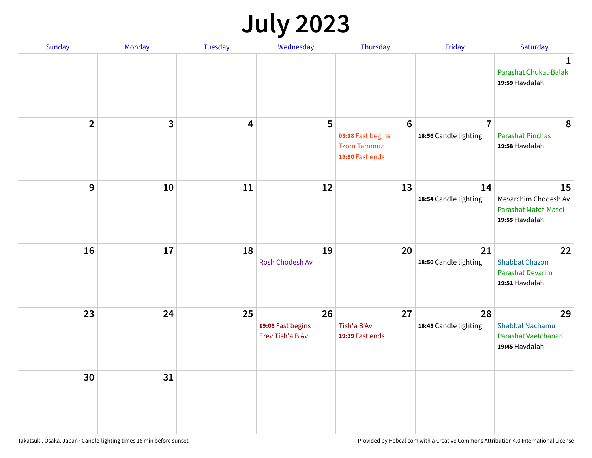# **July 2023**

| Sunday         | Monday       | <b>Tuesday</b>          | Wednesday                                   | Thursday                                                                      | Friday                                  | Saturday                                                              |
|----------------|--------------|-------------------------|---------------------------------------------|-------------------------------------------------------------------------------|-----------------------------------------|-----------------------------------------------------------------------|
|                |              |                         |                                             |                                                                               |                                         | $\mathbf 1$<br>Parashat Chukat-Balak<br>19:59 Havdalah                |
| $\overline{2}$ | $\mathbf{3}$ | $\overline{\mathbf{4}}$ | 5                                           | $6\phantom{1}6$<br>03:18 Fast begins<br><b>Tzom Tammuz</b><br>19:50 Fast ends | $\overline{7}$<br>18:56 Candle lighting | 8<br><b>Parashat Pinchas</b><br>19:58 Havdalah                        |
| 9              | 10           | 11                      | 12                                          | 13                                                                            | 14<br>18:54 Candle lighting             | 15<br>Mevarchim Chodesh Av<br>Parashat Matot-Masei<br>19:55 Havdalah  |
| 16             | 17           | 18                      | 19<br>Rosh Chodesh Av                       | 20                                                                            | 21<br>18:50 Candle lighting             | 22<br><b>Shabbat Chazon</b><br>Parashat Devarim<br>19:51 Havdalah     |
| 23             | 24           | 25                      | 26<br>19:05 Fast begins<br>Erev Tish'a B'Av | 27<br>Tish'a B'Av<br>19:39 Fast ends                                          | 28<br>18:45 Candle lighting             | 29<br><b>Shabbat Nachamu</b><br>Parashat Vaetchanan<br>19:45 Havdalah |
| 30             | 31           |                         |                                             |                                                                               |                                         |                                                                       |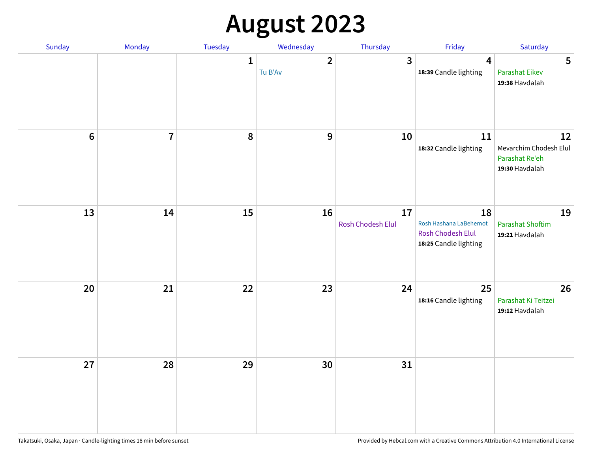# **August 2023**

| Sunday         | Monday         | Tuesday      | Wednesday               | Thursday                | Friday                                                                            | Saturday                                                         |
|----------------|----------------|--------------|-------------------------|-------------------------|-----------------------------------------------------------------------------------|------------------------------------------------------------------|
|                |                | $\mathbf{1}$ | $\mathbf{2}$<br>Tu B'Av | $\overline{\mathbf{3}}$ | $\boldsymbol{4}$<br>18:39 Candle lighting                                         | 5<br><b>Parashat Eikev</b><br>19:38 Havdalah                     |
| $6\phantom{a}$ | $\overline{7}$ | 8            | $\mathbf{9}$            | 10                      | 11<br>18:32 Candle lighting                                                       | 12<br>Mevarchim Chodesh Elul<br>Parashat Re'eh<br>19:30 Havdalah |
| 13             | 14             | 15           | 16                      | 17<br>Rosh Chodesh Elul | 18<br>Rosh Hashana LaBehemot<br><b>Rosh Chodesh Elul</b><br>18:25 Candle lighting | 19<br><b>Parashat Shoftim</b><br>19:21 Havdalah                  |
| 20             | 21             | 22           | 23                      | 24                      | 25<br>18:16 Candle lighting                                                       | 26<br>Parashat Ki Teitzei<br>19:12 Havdalah                      |
| 27             | 28             | 29           | 30                      | 31                      |                                                                                   |                                                                  |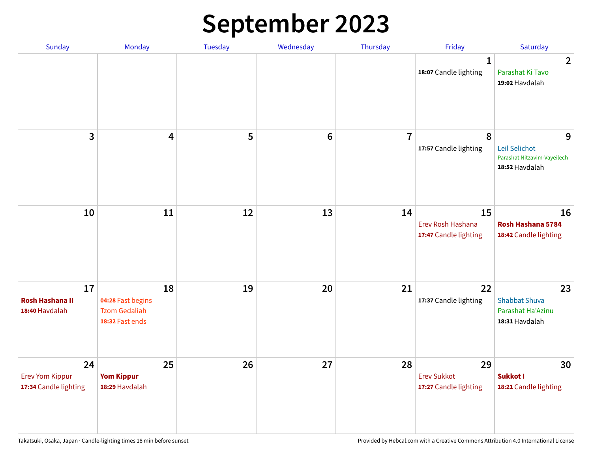# **September 2023**

| Sunday                                                | Monday                                                             | <b>Tuesday</b> | Wednesday      | Thursday       | Friday                                            | Saturday                                                            |
|-------------------------------------------------------|--------------------------------------------------------------------|----------------|----------------|----------------|---------------------------------------------------|---------------------------------------------------------------------|
|                                                       |                                                                    |                |                |                | 1<br>18:07 Candle lighting                        | $\overline{2}$<br>Parashat Ki Tavo<br>19:02 Havdalah                |
| 3                                                     | $\overline{\mathbf{4}}$                                            | 5              | $6\phantom{1}$ | $\overline{7}$ | 8<br>17:57 Candle lighting                        | 9<br>Leil Selichot<br>Parashat Nitzavim-Vayeilech<br>18:52 Havdalah |
| 10                                                    | 11                                                                 | 12             | 13             | 14             | 15<br>Erev Rosh Hashana<br>17:47 Candle lighting  | 16<br>Rosh Hashana 5784<br>18:42 Candle lighting                    |
| 17<br><b>Rosh Hashana II</b><br>18:40 Havdalah        | 18<br>04:28 Fast begins<br><b>Tzom Gedaliah</b><br>18:32 Fast ends | 19             | 20             | 21             | 22<br>17:37 Candle lighting                       | 23<br><b>Shabbat Shuva</b><br>Parashat Ha'Azinu<br>18:31 Havdalah   |
| 24<br><b>Erev Yom Kippur</b><br>17:34 Candle lighting | 25<br><b>Yom Kippur</b><br>18:29 Havdalah                          | 26             | 27             | 28             | 29<br><b>Erev Sukkot</b><br>17:27 Candle lighting | 30<br>Sukkot I<br>18:21 Candle lighting                             |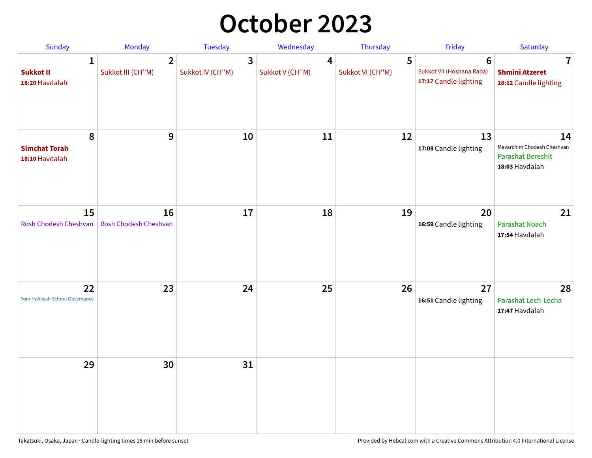## **October 2023**

| Sunday                                             | <b>Monday</b>                       | <b>Tuesday</b>        | Wednesday            | Thursday              | Friday                                                               | Saturday                                                                       |
|----------------------------------------------------|-------------------------------------|-----------------------|----------------------|-----------------------|----------------------------------------------------------------------|--------------------------------------------------------------------------------|
| $\mathbf{1}$<br><b>Sukkot II</b><br>18:20 Havdalah | $\overline{2}$<br>Sukkot III (CH"M) | 3<br>Sukkot IV (CH"M) | 4<br>Sukkot V (CH"M) | 5<br>Sukkot VI (CH"M) | $6\phantom{1}$<br>Sukkot VII (Hoshana Raba)<br>17:17 Candle lighting | 7<br><b>Shmini Atzeret</b><br>18:12 Candle lighting                            |
| 8<br><b>Simchat Torah</b><br>18:10 Havdalah        | $\boldsymbol{9}$                    | 10                    | 11                   | 12                    | 13<br>17:08 Candle lighting                                          | 14<br>Mevarchim Chodesh Cheshvan<br><b>Parashat Bereshit</b><br>18:03 Havdalah |
| 15<br>Rosh Chodesh Cheshvan                        | 16<br>Rosh Chodesh Cheshvan         | 17                    | 18                   | 19                    | 20<br>16:59 Candle lighting                                          | 21<br>Parashat Noach<br>17:54 Havdalah                                         |
| 22<br>Yom HaAliyah School Observance               | 23                                  | 24                    | 25                   | 26                    | 27<br>16:51 Candle lighting                                          | 28<br>Parashat Lech-Lecha<br>17:47 Havdalah                                    |
| 29                                                 | 30                                  | 31                    |                      |                       |                                                                      |                                                                                |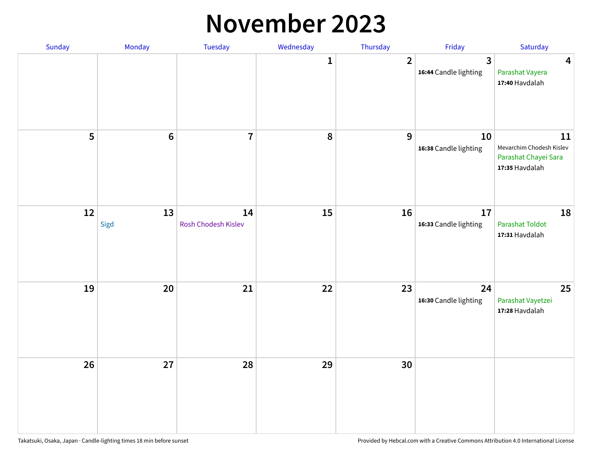#### **November 2023**

| Sunday | Monday          | Tuesday                   | Wednesday | Thursday       | Friday                      | Saturday                                                                 |
|--------|-----------------|---------------------------|-----------|----------------|-----------------------------|--------------------------------------------------------------------------|
|        |                 |                           | 1         | $\overline{2}$ | 3<br>16:44 Candle lighting  | $\overline{\mathbf{4}}$<br>Parashat Vayera<br>17:40 Havdalah             |
| 5      | $6\phantom{1}6$ | $\overline{7}$            | 8         | $\mathbf{9}$   | 10<br>16:38 Candle lighting | 11<br>Mevarchim Chodesh Kislev<br>Parashat Chayei Sara<br>17:35 Havdalah |
| 12     | 13<br>Sigd      | 14<br>Rosh Chodesh Kislev | 15        | 16             | 17<br>16:33 Candle lighting | 18<br><b>Parashat Toldot</b><br>17:31 Havdalah                           |
| 19     | 20              | 21                        | 22        | 23             | 24<br>16:30 Candle lighting | 25<br>Parashat Vayetzei<br>17:28 Havdalah                                |
| 26     | 27              | 28                        | 29        | 30             |                             |                                                                          |